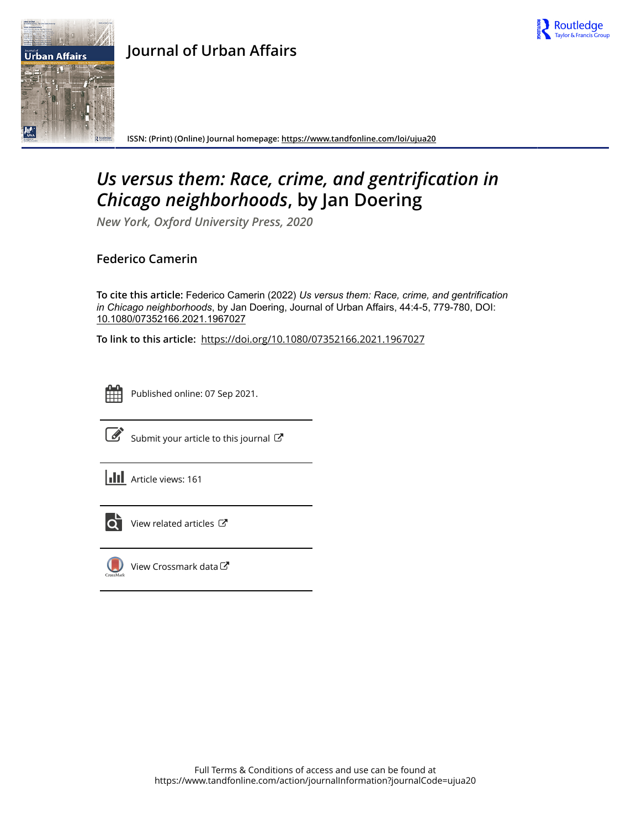

## **Journal of Urban Affairs**



**ISSN: (Print) (Online) Journal homepage:<https://www.tandfonline.com/loi/ujua20>**

## *Us versus them: Race, crime, and gentrification in Chicago neighborhoods***, by Jan Doering**

*New York, Oxford University Press, 2020*

## **Federico Camerin**

**To cite this article:** Federico Camerin (2022) *Usversusthem:Race,crime,andgentrification inChicagoneighborhoods*, by Jan Doering, Journal of Urban Affairs, 44:4-5, 779-780, DOI: [10.1080/07352166.2021.1967027](https://www.tandfonline.com/action/showCitFormats?doi=10.1080/07352166.2021.1967027)

**To link to this article:** <https://doi.org/10.1080/07352166.2021.1967027>



Published online: 07 Sep 2021.



 $\overline{\mathscr{L}}$  [Submit your article to this journal](https://www.tandfonline.com/action/authorSubmission?journalCode=ujua20&show=instructions)  $\mathbb{Z}$ 



 $\overrightarrow{O}$  [View related articles](https://www.tandfonline.com/doi/mlt/10.1080/07352166.2021.1967027)  $\overrightarrow{C}$ 



 $\bigcirc$  [View Crossmark data](http://crossmark.crossref.org/dialog/?doi=10.1080/07352166.2021.1967027&domain=pdf&date_stamp=2021-09-07) $\mathbb{Z}$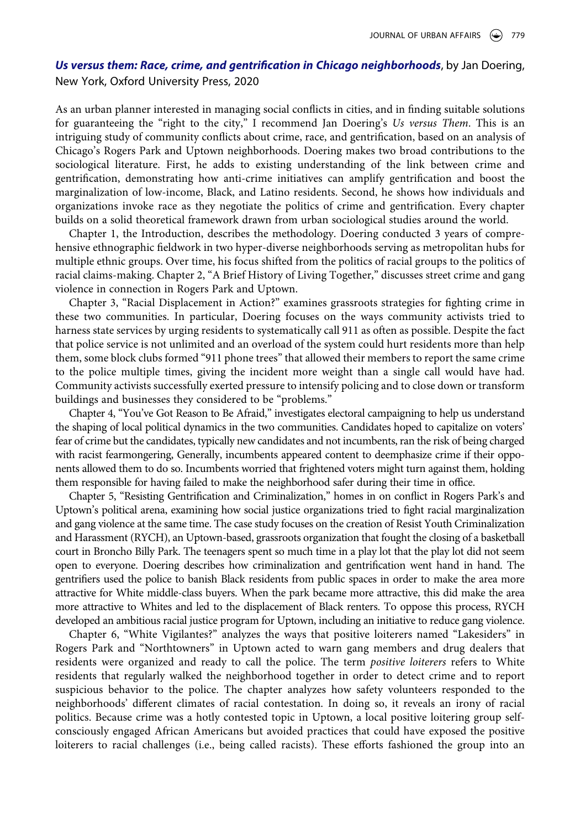## *Us versus them: Race, crime, and gentrification in Chicago neighborhoods*, by Jan Doering, New York, Oxford University Press, 2020

As an urban planner interested in managing social conflicts in cities, and in finding suitable solutions for guaranteeing the "right to the city," I recommend Jan Doering's *Us versus Them*. This is an intriguing study of community conflicts about crime, race, and gentrification, based on an analysis of Chicago's Rogers Park and Uptown neighborhoods. Doering makes two broad contributions to the sociological literature. First, he adds to existing understanding of the link between crime and gentrification, demonstrating how anti-crime initiatives can amplify gentrification and boost the marginalization of low-income, Black, and Latino residents. Second, he shows how individuals and organizations invoke race as they negotiate the politics of crime and gentrification. Every chapter builds on a solid theoretical framework drawn from urban sociological studies around the world.

Chapter 1, the Introduction, describes the methodology. Doering conducted 3 years of comprehensive ethnographic fieldwork in two hyper-diverse neighborhoods serving as metropolitan hubs for multiple ethnic groups. Over time, his focus shifted from the politics of racial groups to the politics of racial claims-making. Chapter 2, "A Brief History of Living Together," discusses street crime and gang violence in connection in Rogers Park and Uptown.

Chapter 3, "Racial Displacement in Action?" examines grassroots strategies for fighting crime in these two communities. In particular, Doering focuses on the ways community activists tried to harness state services by urging residents to systematically call 911 as often as possible. Despite the fact that police service is not unlimited and an overload of the system could hurt residents more than help them, some block clubs formed "911 phone trees" that allowed their members to report the same crime to the police multiple times, giving the incident more weight than a single call would have had. Community activists successfully exerted pressure to intensify policing and to close down or transform buildings and businesses they considered to be "problems."

Chapter 4, "You've Got Reason to Be Afraid," investigates electoral campaigning to help us understand the shaping of local political dynamics in the two communities. Candidates hoped to capitalize on voters' fear of crime but the candidates, typically new candidates and not incumbents, ran the risk of being charged with racist fearmongering, Generally, incumbents appeared content to deemphasize crime if their opponents allowed them to do so. Incumbents worried that frightened voters might turn against them, holding them responsible for having failed to make the neighborhood safer during their time in office.

Chapter 5, "Resisting Gentrification and Criminalization," homes in on conflict in Rogers Park's and Uptown's political arena, examining how social justice organizations tried to fight racial marginalization and gang violence at the same time. The case study focuses on the creation of Resist Youth Criminalization and Harassment (RYCH), an Uptown-based, grassroots organization that fought the closing of a basketball court in Broncho Billy Park. The teenagers spent so much time in a play lot that the play lot did not seem open to everyone. Doering describes how criminalization and gentrification went hand in hand. The gentrifiers used the police to banish Black residents from public spaces in order to make the area more attractive for White middle-class buyers. When the park became more attractive, this did make the area more attractive to Whites and led to the displacement of Black renters. To oppose this process, RYCH developed an ambitious racial justice program for Uptown, including an initiative to reduce gang violence.

Chapter 6, "White Vigilantes?" analyzes the ways that positive loiterers named "Lakesiders" in Rogers Park and "Northtowners" in Uptown acted to warn gang members and drug dealers that residents were organized and ready to call the police. The term *positive loiterers* refers to White residents that regularly walked the neighborhood together in order to detect crime and to report suspicious behavior to the police. The chapter analyzes how safety volunteers responded to the neighborhoods' different climates of racial contestation. In doing so, it reveals an irony of racial politics. Because crime was a hotly contested topic in Uptown, a local positive loitering group selfconsciously engaged African Americans but avoided practices that could have exposed the positive loiterers to racial challenges (i.e., being called racists). These efforts fashioned the group into an